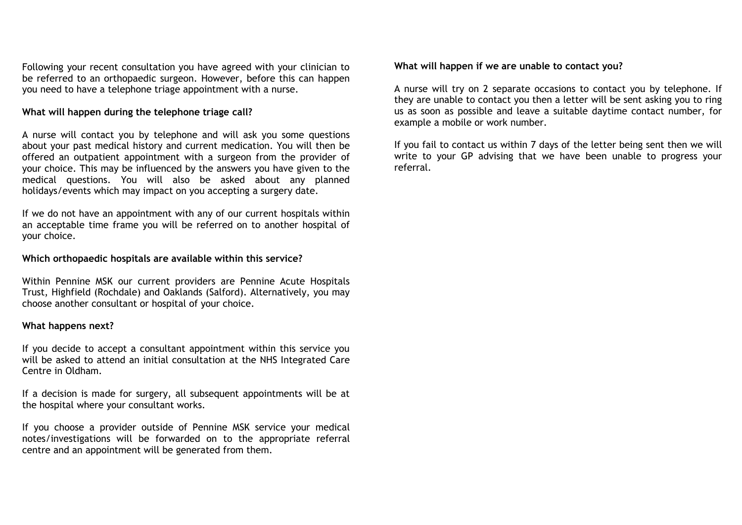Following your recent consultation you have agreed with your clinician to be referred to an orthopaedic surgeon. However, before this can happen you need to have a telephone triage appointment with a nurse.

## **What will happen during the telephone triage call?**

A nurse will contact you by telephone and will ask you some questions about your past medical history and current medication. You will then be offered an outpatient appointment with a surgeon from the provider of your choice. This may be influenced by the answers you have given to the medical questions. You will also be asked about any planned holidays/events which may impact on you accepting a surgery date.

If we do not have an appointment with any of our current hospitals within an acceptable time frame you will be referred on to another hospital of your choice.

#### **Which orthopaedic hospitals are available within this service?**

Within Pennine MSK our current providers are Pennine Acute Hospitals Trust, Highfield (Rochdale) and Oaklands (Salford). Alternatively, you may choose another consultant or hospital of your choice.

#### **What happens next?**

If you decide to accept a consultant appointment within this service you will be asked to attend an initial consultation at the NHS Integrated Care Centre in Oldham.

If a decision is made for surgery, all subsequent appointments will be at the hospital where your consultant works.

If you choose a provider outside of Pennine MSK service your medical notes/investigations will be forwarded on to the appropriate referral centre and an appointment will be generated from them.

#### **What will happen if we are unable to contact you?**

A nurse will try on 2 separate occasions to contact you by telephone. If they are unable to contact you then a letter will be sent asking you to ring us as soon as possible and leave a suitable daytime contact number, for example a mobile or work number.

If you fail to contact us within 7 days of the letter being sent then we will write to your GP advising that we have been unable to progress your referral.